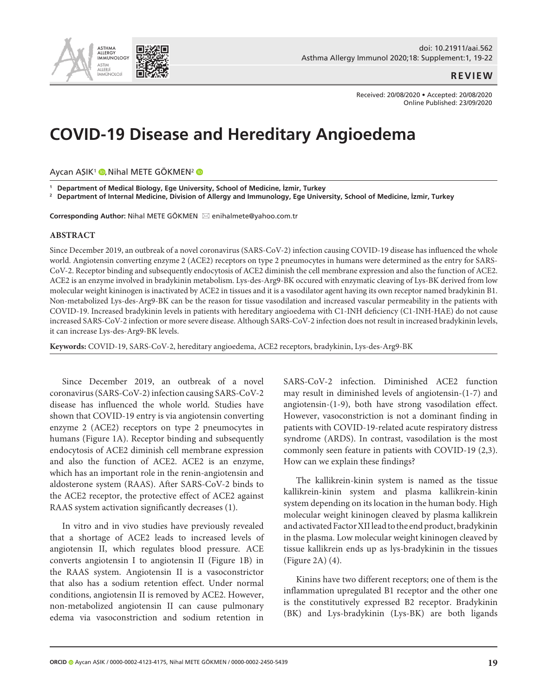

## **REVIEW**

Received: 20/08/2020 • Accepted: 20/08/2020 Online Published: 23/09/2020

# **COVID-19 Disease and Hereditary Angioedema**

Aycan AŞIK<sup>1</sup> **[,](https://orcid.org/0000-0002-4123-4175)** Nihal METE GÖKMEN<sup>2</sup>

**1 Department of Medical Biology, Ege University, School of Medicine, İzmir, Turkey**

 $^{\rm 2}~$  Department of Internal Medicine, Division of Allergy and Immunology, Ege University, School of Medicine, İzmir, Turkey

Corresponding Author: Nihal METE GÖKMEN ⊠ enihalmete@yahoo.com.tr

#### **ABSTRACT**

Since December 2019, an outbreak of a novel coronavirus (SARS-CoV-2) infection causing COVID-19 disease has influenced the whole world. Angiotensin converting enzyme 2 (ACE2) receptors on type 2 pneumocytes in humans were determined as the entry for SARS-CoV-2. Receptor binding and subsequently endocytosis of ACE2 diminish the cell membrane expression and also the function of ACE2. ACE2 is an enzyme involved in bradykinin metabolism. Lys-des-Arg9-BK occured with enzymatic cleaving of Lys-BK derived from low molecular weight kininogen is inactivated by ACE2 in tissues and it is a vasodilator agent having its own receptor named bradykinin B1. Non-metabolized Lys-des-Arg9-BK can be the reason for tissue vasodilation and increased vascular permeability in the patients with COVID-19. Increased bradykinin levels in patients with hereditary angioedema with C1-INH deficiency (C1-INH-HAE) do not cause increased SARS-CoV-2 infection or more severe disease. Although SARS-CoV-2 infection does not result in increased bradykinin levels, it can increase Lys-des-Arg9-BK levels.

**Keywords:** COVID-19, SARS-CoV-2, hereditary angioedema, ACE2 receptors, bradykinin, Lys-des-Arg9-BK

Since December 2019, an outbreak of a novel coronavirus (SARS-CoV-2) infection causing SARS-CoV-2 disease has influenced the whole world. Studies have shown that COVID-19 entry is via angiotensin converting enzyme 2 (ACE2) receptors on type 2 pneumocytes in humans (Figure 1A). Receptor binding and subsequently endocytosis of ACE2 diminish cell membrane expression and also the function of ACE2. ACE2 is an enzyme, which has an important role in the renin-angiotensin and aldosterone system (RAAS). After SARS-CoV-2 binds to the ACE2 receptor, the protective effect of ACE2 against RAAS system activation significantly decreases (1).

In vitro and in vivo studies have previously revealed that a shortage of ACE2 leads to increased levels of angiotensin II, which regulates blood pressure. ACE converts angiotensin I to angiotensin II (Figure 1B) in the RAAS system. Angiotensin II is a vasoconstrictor that also has a sodium retention effect. Under normal conditions, angiotensin II is removed by ACE2. However, non-metabolized angiotensin II can cause pulmonary edema via vasoconstriction and sodium retention in

SARS-CoV-2 infection. Diminished ACE2 function may result in diminished levels of angiotensin-(1-7) and angiotensin-(1-9), both have strong vasodilation effect. However, vasoconstriction is not a dominant finding in patients with COVID-19-related acute respiratory distress syndrome (ARDS). In contrast, vasodilation is the most commonly seen feature in patients with COVID-19 (2,3). How can we explain these findings?

The kallikrein-kinin system is named as the tissue kallikrein-kinin system and plasma kallikrein-kinin system depending on its location in the human body. High molecular weight kininogen cleaved by plasma kallikrein and activated Factor XII lead to the end product, bradykinin in the plasma. Low molecular weight kininogen cleaved by tissue kallikrein ends up as lys-bradykinin in the tissues (Figure 2A) (4).

Kinins have two different receptors; one of them is the inflammation upregulated B1 receptor and the other one is the constitutively expressed B2 receptor. Bradykinin (BK) and Lys-bradykinin (Lys-BK) are both ligands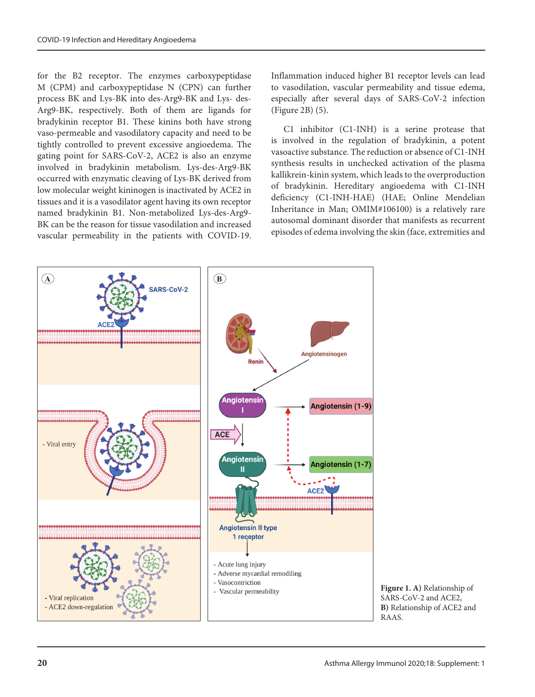for the B2 receptor. The enzymes carboxypeptidase M (CPM) and carboxypeptidase N (CPN) can further process BK and Lys-BK into des-Arg9-BK and Lys- des-Arg9-BK, respectively. Both of them are ligands for bradykinin receptor B1. These kinins both have strong vaso-permeable and vasodilatory capacity and need to be tightly controlled to prevent excessive angioedema. The gating point for SARS-CoV-2, ACE2 is also an enzyme involved in bradykinin metabolism. Lys-des-Arg9-BK occurred with enzymatic cleaving of Lys-BK derived from low molecular weight kininogen is inactivated by ACE2 in tissues and it is a vasodilator agent having its own receptor named bradykinin B1. Non-metabolized Lys-des-Arg9- BK can be the reason for tissue vasodilation and increased vascular permeability in the patients with COVID-19.

Inflammation induced higher B1 receptor levels can lead to vasodilation, vascular permeability and tissue edema, especially after several days of SARS-CoV-2 infection (Figure 2B) (5).

C1 inhibitor (C1-INH) is a serine protease that is involved in the regulation of bradykinin, a potent vasoactive substance. The reduction or absence of C1-INH synthesis results in unchecked activation of the plasma kallikrein-kinin system, which leads to the overproduction of bradykinin. Hereditary angioedema with C1-INH deficiency (C1-INH-HAE) (HAE; Online Mendelian Inheritance in Man; OMIM#106100) is a relatively rare autosomal dominant disorder that manifests as recurrent episodes of edema involving the skin (face, extremities and



**Figure 1. A)** Relationship of SARS-CoV-2 and ACE2, **B)** Relationship of ACE2 and RAAS.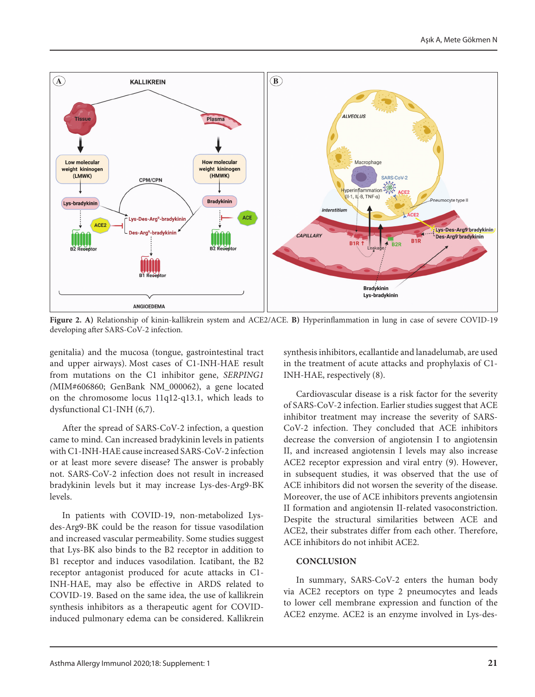

**Figure 2. A)** Relationship of kinin-kallikrein system and ACE2/ACE. **B)** Hyperinflammation in lung in case of severe COVID-19 developing after SARS-CoV-2 infection.

genitalia) and the mucosa (tongue, gastrointestinal tract and upper airways). Most cases of C1-INH-HAE result from mutations on the C1 inhibitor gene, *SERPING1 (*MIM#606860; GenBank NM\_000062), a gene located on the chromosome locus 11q12-q13.1, which leads to dysfunctional C1-INH (6,7).

After the spread of SARS-CoV-2 infection, a question came to mind. Can increased bradykinin levels in patients with C1-INH-HAE cause increased SARS-CoV-2 infection or at least more severe disease? The answer is probably not. SARS-CoV-2 infection does not result in increased bradykinin levels but it may increase Lys-des-Arg9-BK levels.

In patients with COVID-19, non-metabolized Lysdes-Arg9-BK could be the reason for tissue vasodilation and increased vascular permeability. Some studies suggest that Lys-BK also binds to the B2 receptor in addition to B1 receptor and induces vasodilation. Icatibant, the B2 receptor antagonist produced for acute attacks in C1- INH-HAE, may also be effective in ARDS related to COVID-19. Based on the same idea, the use of kallikrein synthesis inhibitors as a therapeutic agent for COVIDinduced pulmonary edema can be considered. Kallikrein

synthesis inhibitors, ecallantide and lanadelumab, are used in the treatment of acute attacks and prophylaxis of C1- INH-HAE, respectively (8).

Cardiovascular disease is a risk factor for the severity of SARS-CoV-2 infection. Earlier studies suggest that ACE inhibitor treatment may increase the severity of SARS-CoV-2 infection. They concluded that ACE inhibitors decrease the conversion of angiotensin I to angiotensin II, and increased angiotensin I levels may also increase ACE2 receptor expression and viral entry (9). However, in subsequent studies, it was observed that the use of ACE inhibitors did not worsen the severity of the disease. Moreover, the use of ACE inhibitors prevents angiotensin II formation and angiotensin II-related vasoconstriction. Despite the structural similarities between ACE and ACE2, their substrates differ from each other. Therefore, ACE inhibitors do not inhibit ACE2.

### **CONCLUSION**

In summary, SARS-CoV-2 enters the human body via ACE2 receptors on type 2 pneumocytes and leads to lower cell membrane expression and function of the ACE2 enzyme. ACE2 is an enzyme involved in Lys-des-